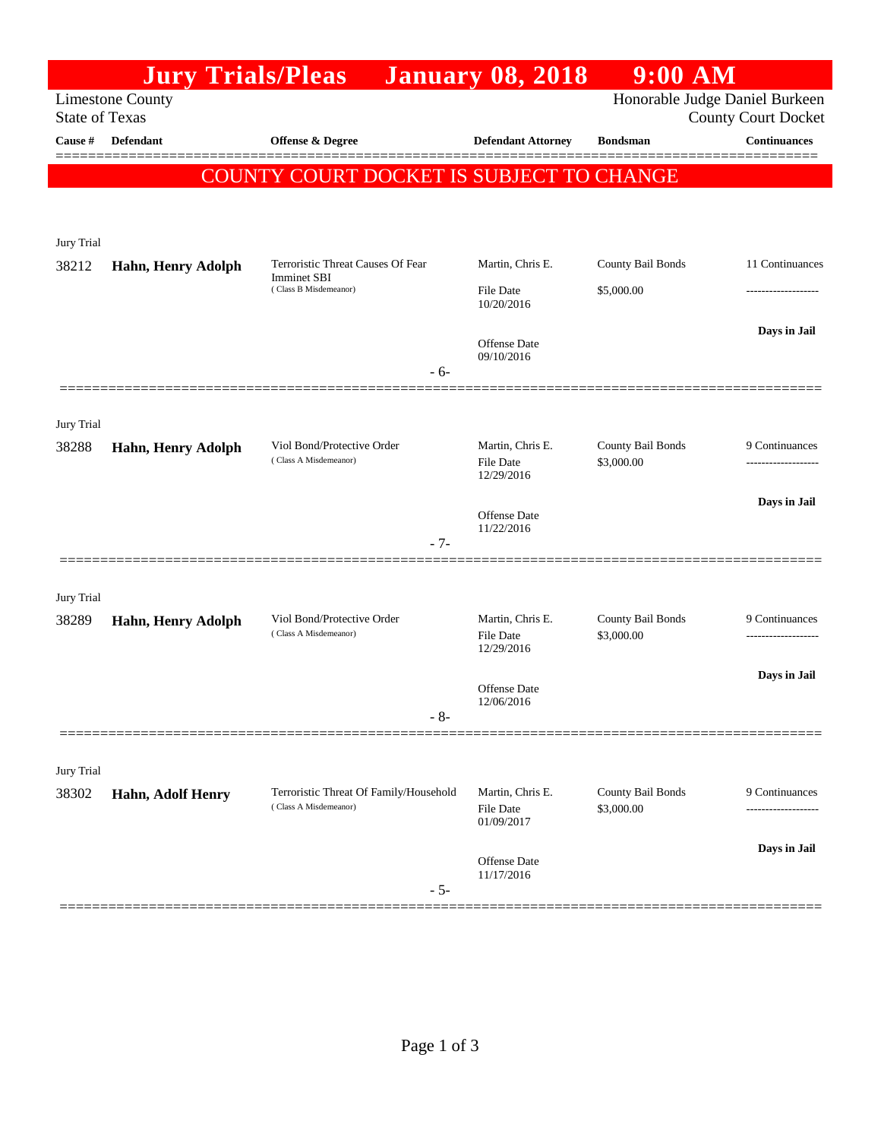|                                                                                                                  | <b>Jury Trials/Pleas</b> |                                                                                  | <b>January 08, 2018</b>                            | $9:00$ AM                       |                     |  |  |
|------------------------------------------------------------------------------------------------------------------|--------------------------|----------------------------------------------------------------------------------|----------------------------------------------------|---------------------------------|---------------------|--|--|
| <b>Limestone County</b><br>Honorable Judge Daniel Burkeen<br><b>State of Texas</b><br><b>County Court Docket</b> |                          |                                                                                  |                                                    |                                 |                     |  |  |
| Cause $\#$                                                                                                       | Defendant                | <b>Offense &amp; Degree</b>                                                      | <b>Defendant Attorney</b>                          | <b>Bondsman</b>                 | <b>Continuances</b> |  |  |
|                                                                                                                  |                          |                                                                                  |                                                    |                                 |                     |  |  |
|                                                                                                                  |                          | <b>COUNTY COURT DOCKET IS SUBJECT TO CHANGE</b>                                  |                                                    |                                 |                     |  |  |
|                                                                                                                  |                          |                                                                                  |                                                    |                                 |                     |  |  |
| Jury Trial                                                                                                       |                          |                                                                                  |                                                    |                                 |                     |  |  |
| 38212                                                                                                            | Hahn, Henry Adolph       | Terroristic Threat Causes Of Fear<br><b>Imminet SBI</b><br>(Class B Misdemeanor) | Martin, Chris E.                                   | County Bail Bonds               | 11 Continuances     |  |  |
|                                                                                                                  |                          |                                                                                  | <b>File Date</b><br>10/20/2016                     | \$5,000.00                      |                     |  |  |
|                                                                                                                  |                          |                                                                                  |                                                    |                                 | Days in Jail        |  |  |
|                                                                                                                  |                          |                                                                                  | <b>Offense</b> Date<br>09/10/2016                  |                                 |                     |  |  |
|                                                                                                                  |                          | $-6-$                                                                            |                                                    |                                 |                     |  |  |
| Jury Trial                                                                                                       |                          |                                                                                  |                                                    |                                 |                     |  |  |
| 38288                                                                                                            | Hahn, Henry Adolph       | Viol Bond/Protective Order<br>(Class A Misdemeanor)                              | Martin, Chris E.<br><b>File Date</b><br>12/29/2016 | County Bail Bonds<br>\$3,000.00 | 9 Continuances      |  |  |
|                                                                                                                  |                          |                                                                                  |                                                    |                                 |                     |  |  |
|                                                                                                                  |                          |                                                                                  |                                                    |                                 | Days in Jail        |  |  |
|                                                                                                                  |                          |                                                                                  | <b>Offense</b> Date<br>11/22/2016                  |                                 |                     |  |  |
|                                                                                                                  |                          | $-7-$                                                                            |                                                    |                                 |                     |  |  |
| Jury Trial                                                                                                       |                          |                                                                                  |                                                    |                                 |                     |  |  |
| 38289                                                                                                            | Hahn, Henry Adolph       | Viol Bond/Protective Order                                                       | Martin, Chris E.                                   | County Bail Bonds               | 9 Continuances      |  |  |
|                                                                                                                  |                          | (Class A Misdemeanor)                                                            | <b>File Date</b><br>12/29/2016                     | \$3,000.00                      |                     |  |  |
|                                                                                                                  |                          |                                                                                  |                                                    |                                 | Days in Jail        |  |  |
|                                                                                                                  |                          |                                                                                  | Offense Date<br>12/06/2016                         |                                 |                     |  |  |
|                                                                                                                  |                          | $-8-$                                                                            |                                                    |                                 |                     |  |  |
|                                                                                                                  |                          |                                                                                  |                                                    |                                 |                     |  |  |
| Jury Trial<br>38302                                                                                              | Hahn, Adolf Henry        | Terroristic Threat Of Family/Household<br>(Class A Misdemeanor)                  | Martin, Chris E.<br><b>File Date</b><br>01/09/2017 | County Bail Bonds<br>\$3,000.00 | 9 Continuances      |  |  |
|                                                                                                                  |                          |                                                                                  |                                                    |                                 | ------------------  |  |  |
|                                                                                                                  |                          |                                                                                  |                                                    |                                 | Days in Jail        |  |  |
|                                                                                                                  |                          |                                                                                  | Offense Date<br>11/17/2016                         |                                 |                     |  |  |
|                                                                                                                  |                          | $-5-$                                                                            |                                                    |                                 |                     |  |  |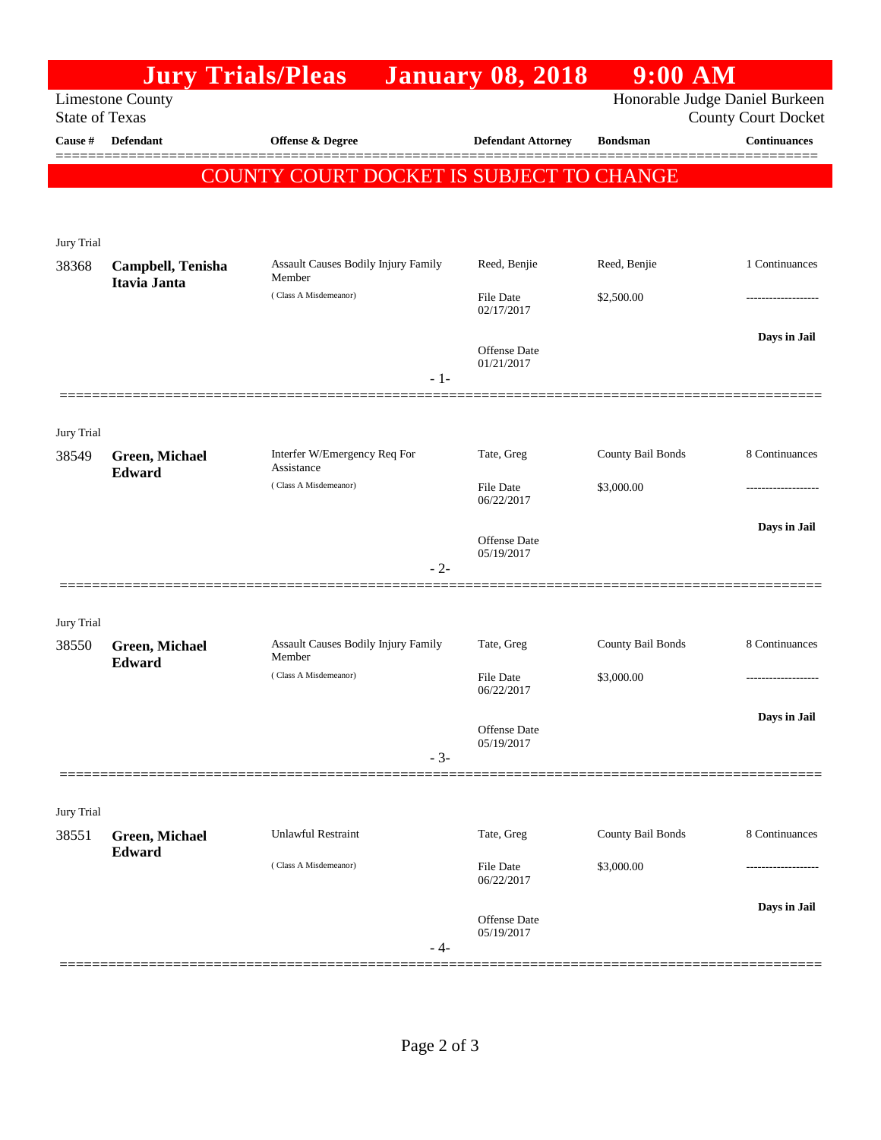|                                                                                                                  |                       | <b>Jury Trials/Pleas</b>                             | <b>January 08, 2018</b>   | $9:00$ AM         |                     |  |  |  |
|------------------------------------------------------------------------------------------------------------------|-----------------------|------------------------------------------------------|---------------------------|-------------------|---------------------|--|--|--|
| Honorable Judge Daniel Burkeen<br><b>Limestone County</b><br><b>State of Texas</b><br><b>County Court Docket</b> |                       |                                                      |                           |                   |                     |  |  |  |
| Cause #                                                                                                          | Defendant             | <b>Offense &amp; Degree</b>                          | <b>Defendant Attorney</b> | <b>Bondsman</b>   | <b>Continuances</b> |  |  |  |
|                                                                                                                  |                       |                                                      |                           |                   |                     |  |  |  |
| COUNTY COURT DOCKET IS SUBJECT TO CHANGE                                                                         |                       |                                                      |                           |                   |                     |  |  |  |
|                                                                                                                  |                       |                                                      |                           |                   |                     |  |  |  |
| Jury Trial                                                                                                       |                       |                                                      |                           |                   |                     |  |  |  |
| 38368                                                                                                            | Campbell, Tenisha     | <b>Assault Causes Bodily Injury Family</b><br>Member | Reed, Benjie              | Reed, Benjie      | 1 Continuances      |  |  |  |
|                                                                                                                  | Itavia Janta          | (Class A Misdemeanor)                                | <b>File Date</b>          | \$2,500.00        | .                   |  |  |  |
|                                                                                                                  |                       |                                                      | 02/17/2017                |                   |                     |  |  |  |
|                                                                                                                  |                       |                                                      | <b>Offense</b> Date       |                   | Days in Jail        |  |  |  |
|                                                                                                                  |                       | $-1-$                                                | 01/21/2017                |                   |                     |  |  |  |
|                                                                                                                  |                       |                                                      |                           |                   |                     |  |  |  |
| Jury Trial                                                                                                       |                       |                                                      |                           |                   |                     |  |  |  |
| 38549                                                                                                            | Green, Michael        | Interfer W/Emergency Req For<br>Assistance           | Tate, Greg                | County Bail Bonds | 8 Continuances      |  |  |  |
|                                                                                                                  | Edward                | (Class A Misdemeanor)                                | <b>File Date</b>          | \$3,000.00        | .                   |  |  |  |
|                                                                                                                  |                       |                                                      | 06/22/2017                |                   |                     |  |  |  |
|                                                                                                                  |                       |                                                      | <b>Offense Date</b>       |                   | Days in Jail        |  |  |  |
|                                                                                                                  |                       | $-2-$                                                | 05/19/2017                |                   |                     |  |  |  |
|                                                                                                                  |                       |                                                      |                           |                   |                     |  |  |  |
| Jury Trial                                                                                                       |                       |                                                      |                           |                   |                     |  |  |  |
| 38550                                                                                                            | <b>Green, Michael</b> | Assault Causes Bodily Injury Family<br>Member        | Tate, Greg                | County Bail Bonds | 8 Continuances      |  |  |  |
|                                                                                                                  | Edward                | (Class A Misdemeanor)                                | <b>File Date</b>          | \$3,000.00        |                     |  |  |  |
|                                                                                                                  |                       |                                                      | 06/22/2017                |                   |                     |  |  |  |
|                                                                                                                  |                       |                                                      | <b>Offense</b> Date       |                   | Days in Jail        |  |  |  |
|                                                                                                                  |                       | $-3-$                                                | 05/19/2017                |                   |                     |  |  |  |
|                                                                                                                  |                       |                                                      |                           |                   |                     |  |  |  |
| Jury Trial                                                                                                       |                       |                                                      |                           |                   |                     |  |  |  |
| 38551                                                                                                            | <b>Green, Michael</b> | <b>Unlawful Restraint</b>                            | Tate, Greg                | County Bail Bonds | 8 Continuances      |  |  |  |
|                                                                                                                  | Edward                | (Class A Misdemeanor)                                | <b>File Date</b>          | \$3,000.00        |                     |  |  |  |
|                                                                                                                  |                       |                                                      | 06/22/2017                |                   |                     |  |  |  |
|                                                                                                                  |                       |                                                      | <b>Offense Date</b>       |                   | Days in Jail        |  |  |  |
|                                                                                                                  |                       | - 4-                                                 | 05/19/2017                |                   |                     |  |  |  |
|                                                                                                                  |                       |                                                      |                           |                   |                     |  |  |  |